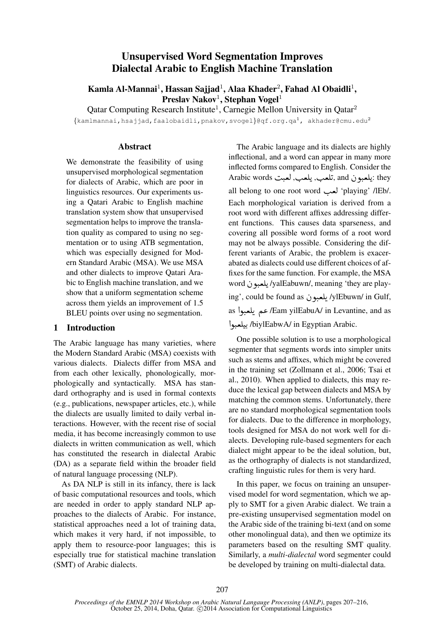# Unsupervised Word Segmentation Improves Dialectal Arabic to English Machine Translation

Kamla Al-Mannai $^1$ , Hassan Sajjad $^1$ , Alaa Khader $^2$ , Fahad Al Obaidli $^1$ , Preslav Nakov<sup>1</sup>, Stephan Vogel<sup>1</sup>

Qatar Computing Research Institute<sup>1</sup>, Carnegie Mellon University in Qatar<sup>2</sup>

 $\{$ kamlmannai,hsajjad,faalobaidli,pnakov,svogel $\}$ @qf.org.qa<sup>1</sup>, akhader@cmu.edu<sup>2</sup>

## Abstract

We demonstrate the feasibility of using unsupervised morphological segmentation for dialects of Arabic, which are poor in linguistics resources. Our experiments using a Qatari Arabic to English machine translation system show that unsupervised segmentation helps to improve the translation quality as compared to using no segmentation or to using ATB segmentation, which was especially designed for Modern Standard Arabic (MSA). We use MSA and other dialects to improve Qatari Arabic to English machine translation, and we show that a uniform segmentation scheme across them yields an improvement of 1.5 BLEU points over using no segmentation.

## 1 Introduction

The Arabic language has many varieties, where the Modern Standard Arabic (MSA) coexists with various dialects. Dialects differ from MSA and from each other lexically, phonologically, morphologically and syntactically. MSA has standard orthography and is used in formal contexts (e.g., publications, newspaper articles, etc.), while the dialects are usually limited to daily verbal interactions. However, with the recent rise of social media, it has become increasingly common to use dialects in written communication as well, which has constituted the research in dialectal Arabic (DA) as a separate field within the broader field of natural language processing (NLP).

As DA NLP is still in its infancy, there is lack of basic computational resources and tools, which are needed in order to apply standard NLP approaches to the dialects of Arabic. For instance, statistical approaches need a lot of training data, which makes it very hard, if not impossible, to apply them to resource-poor languages; this is especially true for statistical machine translation (SMT) of Arabic dialects.

The Arabic language and its dialects are highly inflectional, and a word can appear in many more inflected forms compared to English. Consider the inflected forms compared to English. Consider the<br>Arabic words :يلعبون and ,تلعب, يلعب, لعبت  $\overline{a}$ ر<br>پ ر<br>پ all belong to one root word لعب 'playing' /IEb/. Each morphological variation is derived from a root word with different affixes addressing different functions. This causes data sparseness, and covering all possible word forms of a root word may not be always possible. Considering the different variants of Arabic, the problem is exacerabated as dialects could use different choices of affixes for the same function. For example, the MSA fixes for the same function. For example, the MSA<br>word یلعبو ن /yalEabuwn/, meaning 'they are play-.<br>پ ryan aduwm, incaning 'incy are play-<br>ing', could be found as يلعبون /ylEbuwn/ in Gulf, ر<br>پ as عم يلعبوا /Eam yilEabuA/ in Levantine, and as ر<br>پ مبر - مسر<br>(biylEabwA/ in Egyptian Arabic.  $\ddot{\cdot}$ .<br>J .

One possible solution is to use a morphological segmenter that segments words into simpler units such as stems and affixes, which might be covered in the training set (Zollmann et al., 2006; Tsai et al., 2010). When applied to dialects, this may reduce the lexical gap between dialects and MSA by matching the common stems. Unfortunately, there are no standard morphological segmentation tools for dialects. Due to the difference in morphology, tools designed for MSA do not work well for dialects. Developing rule-based segmenters for each dialect might appear to be the ideal solution, but, as the orthography of dialects is not standardized, crafting linguistic rules for them is very hard.

In this paper, we focus on training an unsupervised model for word segmentation, which we apply to SMT for a given Arabic dialect. We train a pre-existing unsupervised segmentation model on the Arabic side of the training bi-text (and on some other monolingual data), and then we optimize its parameters based on the resulting SMT quality. Similarly, a *multi-dialectal* word segmenter could be developed by training on multi-dialectal data.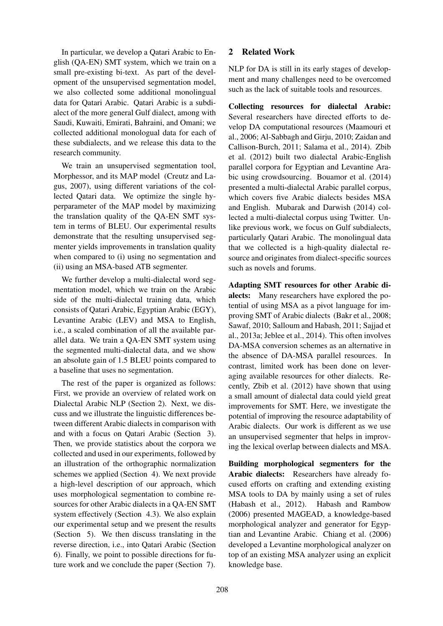In particular, we develop a Qatari Arabic to English (QA-EN) SMT system, which we train on a small pre-existing bi-text. As part of the development of the unsupervised segmentation model, we also collected some additional monolingual data for Qatari Arabic. Qatari Arabic is a subdialect of the more general Gulf dialect, among with Saudi, Kuwaiti, Emirati, Bahraini, and Omani; we collected additional monologual data for each of these subdialects, and we release this data to the research community.

We train an unsupervised segmentation tool, Morphessor, and its MAP model (Creutz and Lagus, 2007), using different variations of the collected Qatari data. We optimize the single hyperparameter of the MAP model by maximizing the translation quality of the QA-EN SMT system in terms of BLEU. Our experimental results demonstrate that the resulting unsupervised segmenter yields improvements in translation quality when compared to (i) using no segmentation and (ii) using an MSA-based ATB segmenter.

We further develop a multi-dialectal word segmentation model, which we train on the Arabic side of the multi-dialectal training data, which consists of Qatari Arabic, Egyptian Arabic (EGY), Levantine Arabic (LEV) and MSA to English, i.e., a scaled combination of all the available parallel data. We train a QA-EN SMT system using the segmented multi-dialectal data, and we show an absolute gain of 1.5 BLEU points compared to a baseline that uses no segmentation.

The rest of the paper is organized as follows: First, we provide an overview of related work on Dialectal Arabic NLP (Section 2). Next, we discuss and we illustrate the linguistic differences between different Arabic dialects in comparison with and with a focus on Qatari Arabic (Section 3). Then, we provide statistics about the corpora we collected and used in our experiments, followed by an illustration of the orthographic normalization schemes we applied (Section 4). We next provide a high-level description of our approach, which uses morphological segmentation to combine resources for other Arabic dialects in a QA-EN SMT system effectively (Section 4.3). We also explain our experimental setup and we present the results (Section 5). We then discuss translating in the reverse direction, i.e., into Qatari Arabic (Section 6). Finally, we point to possible directions for future work and we conclude the paper (Section 7).

## 2 Related Work

NLP for DA is still in its early stages of development and many challenges need to be overcomed such as the lack of suitable tools and resources.

Collecting resources for dialectal Arabic: Several researchers have directed efforts to develop DA computational resources (Maamouri et al., 2006; Al-Sabbagh and Girju, 2010; Zaidan and Callison-Burch, 2011; Salama et al., 2014). Zbib et al. (2012) built two dialectal Arabic-English parallel corpora for Egyptian and Levantine Arabic using crowdsourcing. Bouamor et al. (2014) presented a multi-dialectal Arabic parallel corpus, which covers five Arabic dialects besides MSA and English. Mubarak and Darwish (2014) collected a multi-dialectal corpus using Twitter. Unlike previous work, we focus on Gulf subdialects, particularly Qatari Arabic. The monolingual data that we collected is a high-quality dialectal resource and originates from dialect-specific sources such as novels and forums.

Adapting SMT resources for other Arabic dialects: Many researchers have explored the potential of using MSA as a pivot language for improving SMT of Arabic dialects (Bakr et al., 2008; Sawaf, 2010; Salloum and Habash, 2011; Sajjad et al., 2013a; Jeblee et al., 2014). This often involves DA-MSA conversion schemes as an alternative in the absence of DA-MSA parallel resources. In contrast, limited work has been done on leveraging available resources for other dialects. Recently, Zbib et al. (2012) have shown that using a small amount of dialectal data could yield great improvements for SMT. Here, we investigate the potential of improving the resource adaptability of Arabic dialects. Our work is different as we use an unsupervised segmenter that helps in improving the lexical overlap between dialects and MSA.

Building morphological segmenters for the Arabic dialects: Researchers have already focused efforts on crafting and extending existing MSA tools to DA by mainly using a set of rules (Habash et al., 2012). Habash and Rambow (2006) presented MAGEAD, a knowledge-based morphological analyzer and generator for Egyptian and Levantine Arabic. Chiang et al. (2006) developed a Levantine morphological analyzer on top of an existing MSA analyzer using an explicit knowledge base.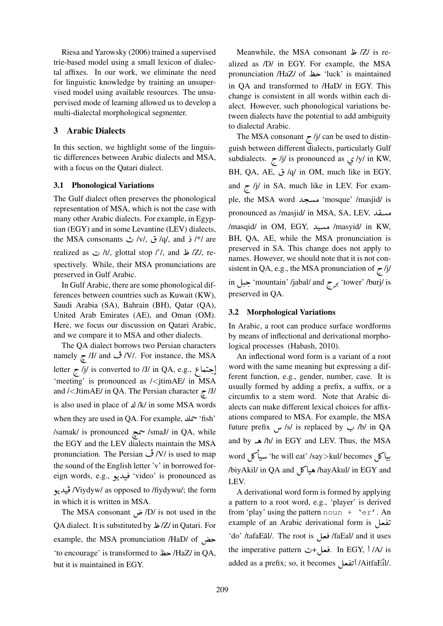Riesa and Yarowsky (2006) trained a supervised trie-based model using a small lexicon of dialectal affixes. In our work, we eliminate the need for linguistic knowledge by training an unsupervised model using available resources. The unsupervised mode of learning allowed us to develop a multi-dialectal morphological segmenter.

## 3 Arabic Dialects

In this section, we highlight some of the linguistic differences between Arabic dialects and MSA, with a focus on the Qatari dialect.

## 3.1 Phonological Variations

The Gulf dialect often preserves the phonological representation of MSA, which is not the case with many other Arabic dialects. For example, in Egyptian (EGY) and in some Levantine (LEV) dialects, tian (EGY) and in some Levantine (LEV) dialects,<br>the MSA consonants ش /v/, ث /q/, and  $\frac{1}{2}$ /\*/ are realized as  $t$  /t/, glottal stop *l'*/, and  $\frac{1}{2}$ /, respectively. While, their MSA pronunciations are preserved in Gulf Arabic.

In Gulf Arabic, there are some phonological differences between countries such as Kuwait (KW), Saudi Arabia (SA), Bahrain (BH), Qatar (QA), United Arab Emirates (AE), and Oman (OM). Here, we focus our discussion on Qatari Arabic, and we compare it to MSA and other dialects.

The QA dialect borrows two Persian characters The QA dialect borrows two Persian characters<br>namely  $\frac{1}{2}$  /J/ and  $\frac{3}{2}$  /V/. For instance, the MSA  $\begin{array}{c} \text{matrix} \\ \text{F} \end{array}$ , and  $\begin{array}{c} \text{F} \end{array}$ , For instance, the MSA<br>letter  $\tau$  /j/ is converted to /J/ in QA, e.g.,  $\epsilon$ @ ļ 'meeting' is pronounced as /<jtimAE/ in MSA and /<JtimAE/ in QA. The Persian character  $\approx$  /J/ is also used in place of  $\angle$ /k/ in some MSA words when they are used in QA. For example, ½ÖÞ 'fish' j  $\sqrt{s}$ amak/ is pronounced  $\sim$  /smaJ/ in QA, while .<br>س the EGY and the LEV dialects maintain the MSA pronunciation. The Persian  $\dot{\psi}$  /V/ is used to map the sound of the English letter 'v' in borrowed foreign words, e.g., فيديو video' is pronounced as  $\ddot{\cdot}$ |<br>|<br>| ۔<br>Viydyw/ as opposed to /fiydywu/; the form/ ڤيديو  $\ddot{\cdot}$  $\ddot{\phantom{0}}$ in which it is written in MSA.

which it is written in MSA.<br>The MSA consonant  $\omega$  /D/ is not used in the QA dialect. It is substituted by /Z/ in Qatari. For example, the MSA pronunciation /HaD/ of k  $\overline{a}$ 'to encourage' is transformed to  $\overline{\mathsf{A}}$  /HaZ/ in QA, but it is maintained in EGY.

Meanwhile, the MSA consonant  $Z/$  is realized as /D/ in EGY. For example, the MSA pronunciation /HaZ/ of مظ 'luck' is maintained in QA and transformed to /HaD/ in EGY. This change is consistent in all words within each dialect. However, such phonological variations between dialects have the potential to add ambiguity to dialectal Arabic.

The MSA consonant  $\frac{1}{2}$  /j/ can be used to distinguish between different dialects, particularly Gulf gaish between different dialects, particularly Sun<br>subdialects. *j*/ *j*/ is pronounced as *y/y/* in KW, subdialects. *If*  $\frac{1}{2}$  is pronounced as  $\frac{1}{2}$  /y/ in Kw,<br>BH, QA, AE, ق,  $q$ / in OM, much like in EGY, and  $\zeta$  /j/ in SA, much like in LEV. For example, the MSA word مسجد 'mosque' /masjid/ is مسقد ,pronounced as /masjid/ in MSA, SA, LEV<br>. ן.<br>.. -<br>/masyid/ in KW, مسيد /masyid/ in KW,  $\ddot{\cdot}$ BH, QA, AE, while the MSA pronunciation is preserved in SA. This change does not apply to names. However, we should note that it is not consistent in QA, e.g., the MSA pronunciation of  $\tau$ /j/ in جبل 'mountain' /jabal/ and برج tower' /burj/ is preserved in QA.

#### 3.2 Morphological Variations

In Arabic, a root can produce surface wordforms by means of inflectional and derivational morphological processes (Habash, 2010).

An inflectional word form is a variant of a root word with the same meaning but expressing a different function, e.g., gender, number, case. It is usually formed by adding a prefix, a suffix, or a circumfix to a stem word. Note that Arabic dialects can make different lexical choices for affixations compared to MSA. For example, the MSA future prefix  $\omega$ /s/ is replaced by  $\omega$ /b/ in QA and by ë /h/ in EGY and LEV. Thus, the MSA word É¿ AJ 'he will eat' /say>kul/ becomes É¿ AJ ر<br>ء ֦֧֦֦֦֦֦֦֦֦֝֝֜֜ .<br>س . ...<br>hayAkul/ in EGY and/میاکل /biyAkil/ in QA and/ LEV.

A derivational word form is formed by applying a pattern to a root word, e.g., 'player' is derived from 'play' using the pattern noun  $+$  'er'. An example of an Arabic derivational form is example of an Arabic derivational form is تفعل 1<br>.. ا<br>ت example of an Arabic derivational form is تفعل<br>'do' /tafaEãl/. The root is فعل faEal/ and it uses the imperative pattern فعل +ت In EGY, \/A/ is .<br>Lin EGY, \/A/ is . ule imperative pattern set . فعل+ت added as a prefix; so, it becomes<br>./AitfaEĩl/ اتفعل AitfaEĩl/! Ì.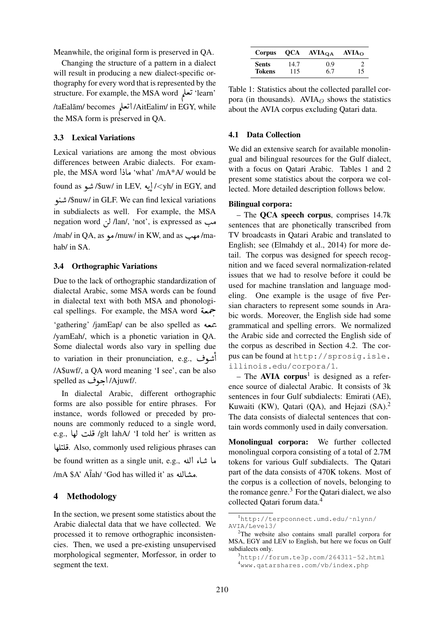Meanwhile, the original form is preserved in QA.

Changing the structure of a pattern in a dialect will result in producing a new dialect-specific orthography for every word that is represented by the structure. For example, the MSA word ÕΪ K 'learn'  $\ddot{\ }$ م (<br>AitEalim/ in EGY, while/أتعلم /taEalãm/ becomes/أتعلم ,<br>.. the MSA form is preserved in QA.

#### 3.3 Lexical Variations

Lexical variations are among the most obvious differences between Arabic dialects. For examelle, the MSA word 'bundar' /mA\*A/ would be  $\ddot{\phantom{0}}$ found as شو /\$uw/ in LEV, فيه/<yh/ in EGY, and ر<br>پ @ ļ ñ /\$nuw/ in GLF. We can find lexical variations .<br>.  $\ddot{\cdot}$ in subdialects as well. For example, the MSA n subdialects as well. For example, the MSA<br>hegation word *(*) *l*an/, 'not', is expressed as .<br>-ma/مهب mad as/ma/مهد /muw/ in KW, and as/مهب

hab/ in SA.

#### 3.4 Orthographic Variations

Due to the lack of orthographic standardization of dialectal Arabic, some MSA words can be found in dialectal text with both MSA and phonologiin dialectal text with both MSA and phonological spellings. For example, the MSA word  $\epsilon$ . .<br>شعبه 'gathering' /jamEap/ can be also spelled as /yamEah/, which is a phonetic variation in QA. Some dialectal words also vary in spelling due to variation in their pronunciation, e.g., أشوف  $\frac{1}{2}$ م<br>أ /A\$uwf/, a QA word meaning 'I see', can be also A\$uwf/, a QA word mea/<br>./Ajuwf/جوف spelled as/

In dialectal Arabic, different orthographic forms are also possible for entire phrases. For instance, words followed or preceded by pronouns are commonly reduced to a single word, nouns are commonly reduced to a single word,<br>e.g., قلت لها /glt lahA/ 'I told her' is written as  $\frac{1}{2}$ e.g., ولادت 1 anA7 - 1 told her . is written as<br>قلتلها Also, commonly used religious phrases can be found written as a single unit, e.g., ها شاء الله .<br>مشالله as willed it' as شالله /mA \$A' Al̃ah/ 'God has willed it' -<br>د

#### 4 Methodology

In the section, we present some statistics about the Arabic dialectal data that we have collected. We processed it to remove orthographic inconsistencies. Then, we used a pre-existing unsupervised morphological segmenter, Morfessor, in order to segment the text.

| Corpus        | OCA  | $AVIA_{OA}$ | AVIA <sub>O</sub> |
|---------------|------|-------------|-------------------|
| <b>Sents</b>  | 14.7 | 0.9         |                   |
| <b>Tokens</b> | 115  | 6.7         | 15                |

Table 1: Statistics about the collected parallel corpora (in thousands). AVIA $<sub>O</sub>$  shows the statistics</sub> about the AVIA corpus excluding Qatari data.

#### 4.1 Data Collection

We did an extensive search for available monolingual and bilingual resources for the Gulf dialect, with a focus on Qatari Arabic. Tables 1 and 2 present some statistics about the corpora we collected. More detailed description follows below.

#### Bilingual corpora:

– The QCA speech corpus, comprises 14.7k sentences that are phonetically transcribed from TV broadcasts in Qatari Arabic and translated to English; see (Elmahdy et al., 2014) for more detail. The corpus was designed for speech recognition and we faced several normalization-related issues that we had to resolve before it could be used for machine translation and language modeling. One example is the usage of five Persian characters to represent some sounds in Arabic words. Moreover, the English side had some grammatical and spelling errors. We normalized the Arabic side and corrected the English side of the corpus as described in Section 4.2. The corpus can be found at http://sprosig.isle. illinois.edu/corpora/1.

 $-$  The AVIA corpus<sup>1</sup> is designed as a reference source of dialectal Arabic. It consists of 3k sentences in four Gulf subdialects: Emirati (AE), Kuwaiti (KW), Qatari (QA), and Hejazi (SA).<sup>2</sup> The data consists of dialectal sentences that contain words commonly used in daily conversation.

Monolingual corpora: We further collected monolingual corpora consisting of a total of 2.7M tokens for various Gulf subdialects. The Qatari part of the data consists of 470K tokens. Most of the corpus is a collection of novels, belonging to the romance genre. $3$  For the Qatari dialect, we also collected Oatari forum data.<sup>4</sup>

<sup>1</sup>http://terpconnect.umd.edu/˜nlynn/ AVIA/Level3/

<sup>&</sup>lt;sup>2</sup>The website also contains small parallel corpora for MSA, EGY and LEV to English, but here we focus on Gulf subdialects only.

 $3$ http://forum.te $3p$ .com/264311-52.html <sup>4</sup>www.qatarshares.com/vb/index.php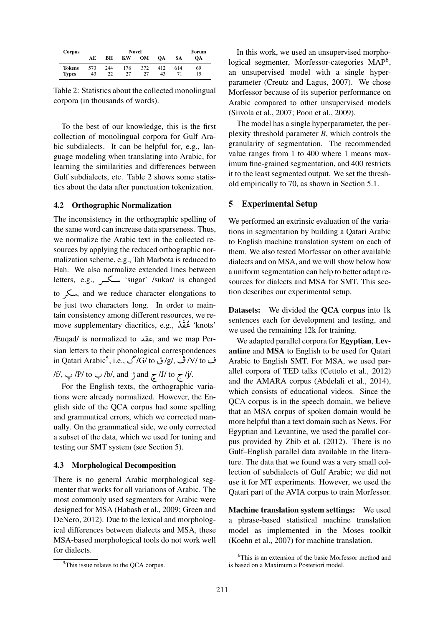| Corpus                 | <b>Novel</b> |           |           |           |           | Forum     |          |
|------------------------|--------------|-----------|-----------|-----------|-----------|-----------|----------|
|                        | АE           | BН        | КW        | OМ        | <b>OA</b> | <b>SA</b> | OА       |
| Tokens<br><b>Types</b> | 573<br>43    | 244<br>22 | 178<br>27 | 372<br>27 | 412<br>43 | 614       | 69<br>15 |

Table 2: Statistics about the collected monolingual corpora (in thousands of words).

To the best of our knowledge, this is the first collection of monolingual corpora for Gulf Arabic subdialects. It can be helpful for, e.g., language modeling when translating into Arabic, for learning the similarities and differences between Gulf subdialects, etc. Table 2 shows some statistics about the data after punctuation tokenization.

#### 4.2 Orthographic Normalization

The inconsistency in the orthographic spelling of the same word can increase data sparseness. Thus, we normalize the Arabic text in the collected resources by applying the reduced orthographic normalization scheme, e.g., Tah Marbota is reduced to Hah. We also normalize extended lines between letters, e.g., كسكر 'sugar' /sukar/ is changed to سكر, and we reduce character elongations to be just two characters long. In order to maintain consistency among different resources, we retain consistency among different resources, we re-<br>move supplementary diacritics, e.g., كُقِّدْ 'knots'  $\frac{1}{2}$  $\frac{1}{2}$  $\frac{1}{2}$ /Euqad/ is normalized to Y ®«, and we map Per-.<br>..

sian letters to their phonological correspondences ف in Qatari Arabic<sup>5</sup>, i.e., کارتی (G/ to یا dian letters to their phonological correspondences<br>ف IV/ to/ ف برای این (G/ to/

/f/, H /P/ to H. /b/, and P and h /J/ to h. /j/.

For the English texts, the orthographic variations were already normalized. However, the English side of the QCA corpus had some spelling and grammatical errors, which we corrected manually. On the grammatical side, we only corrected a subset of the data, which we used for tuning and testing our SMT system (see Section 5).

#### 4.3 Morphological Decomposition

There is no general Arabic morphological segmenter that works for all variations of Arabic. The most commonly used segmenters for Arabic were designed for MSA (Habash et al., 2009; Green and DeNero, 2012). Due to the lexical and morphological differences between dialects and MSA, these MSA-based morphological tools do not work well for dialects.

In this work, we used an unsupervised morphological segmenter, Morfessor-categories MAP<sup>6</sup>, an unsupervised model with a single hyperparameter (Creutz and Lagus, 2007). We chose Morfessor because of its superior performance on Arabic compared to other unsupervised models (Siivola et al., 2007; Poon et al., 2009).

The model has a single hyperparameter, the perplexity threshold parameter *B*, which controls the granularity of segmentation. The recommended value ranges from 1 to 400 where 1 means maximum fine-grained segmentation, and 400 restricts it to the least segmented output. We set the threshold empirically to 70, as shown in Section 5.1.

## 5 Experimental Setup

We performed an extrinsic evaluation of the variations in segmentation by building a Qatari Arabic to English machine translation system on each of them. We also tested Morfessor on other available dialects and on MSA, and we will show below how a uniform segmentation can help to better adapt resources for dialects and MSA for SMT. This section describes our experimental setup.

Datasets: We divided the QCA corpus into 1k sentences each for development and testing, and we used the remaining 12k for training.

We adapted parallel corpora for Egyptian, Levantine and MSA to English to be used for Qatari Arabic to English SMT. For MSA, we used parallel corpora of TED talks (Cettolo et al., 2012) and the AMARA corpus (Abdelali et al., 2014), which consists of educational videos. Since the QCA corpus is in the speech domain, we believe that an MSA corpus of spoken domain would be more helpful than a text domain such as News. For Egyptian and Levantine, we used the parallel corpus provided by Zbib et al. (2012). There is no Gulf–English parallel data available in the literature. The data that we found was a very small collection of subdialects of Gulf Arabic; we did not use it for MT experiments. However, we used the Qatari part of the AVIA corpus to train Morfessor.

Machine translation system settings: We used a phrase-based statistical machine translation model as implemented in the Moses toolkit (Koehn et al., 2007) for machine translation.

<sup>&</sup>lt;sup>5</sup>This issue relates to the QCA corpus.

 $6$ This is an extension of the basic Morfessor method and is based on a Maximum a Posteriori model.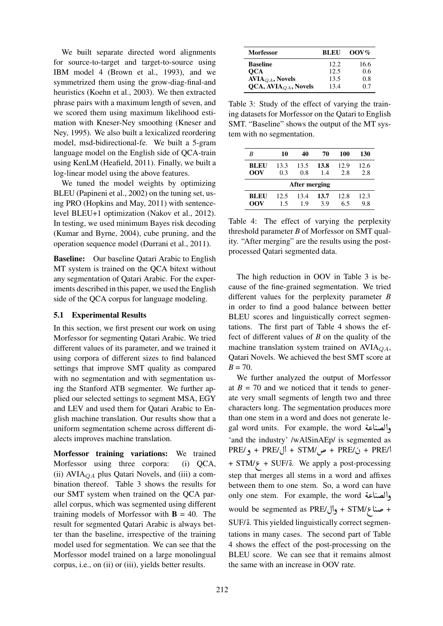We built separate directed word alignments for source-to-target and target-to-source using IBM model 4 (Brown et al., 1993), and we symmetrized them using the grow-diag-final-and heuristics (Koehn et al., 2003). We then extracted phrase pairs with a maximum length of seven, and we scored them using maximum likelihood estimation with Kneser-Ney smoothing (Kneser and Ney, 1995). We also built a lexicalized reordering model, msd-bidirectional-fe. We built a 5-gram language model on the English side of QCA-train using KenLM (Heafield, 2011). Finally, we built a log-linear model using the above features.

We tuned the model weights by optimizing BLEU (Papineni et al., 2002) on the tuning set, using PRO (Hopkins and May, 2011) with sentencelevel BLEU+1 optimization (Nakov et al., 2012). In testing, we used minimum Bayes risk decoding (Kumar and Byrne, 2004), cube pruning, and the operation sequence model (Durrani et al., 2011).

Baseline: Our baseline Qatari Arabic to English MT system is trained on the QCA bitext without any segmentation of Qatari Arabic. For the experiments described in this paper, we used the English side of the QCA corpus for language modeling.

## 5.1 Experimental Results

In this section, we first present our work on using Morfessor for segmenting Qatari Arabic. We tried different values of its parameter, and we trained it using corpora of different sizes to find balanced settings that improve SMT quality as compared with no segmentation and with segmentation using the Stanford ATB segmenter. We further applied our selected settings to segment MSA, EGY and LEV and used them for Qatari Arabic to English machine translation. Our results show that a uniform segmentation scheme across different dialects improves machine translation.

Morfessor training variations: We trained Morfessor using three corpora: (i) QCA, (ii)  $AVIA<sub>OA</sub>$  plus Qatari Novels, and (iii) a combination thereof. Table 3 shows the results for our SMT system when trained on the QCA parallel corpus, which was segmented using different training models of Morfessor with  $\mathbf{B} = 40$ . The result for segmented Qatari Arabic is always better than the baseline, irrespective of the training model used for segmentation. We can see that the Morfessor model trained on a large monolingual corpus, i.e., on (ii) or (iii), yields better results.

| <b>Morfessor</b>                 | <b>BLEU</b> | $00V\%$ |
|----------------------------------|-------------|---------|
| <b>Baseline</b>                  | 12.2.       | 16.6    |
| <b>OCA</b>                       | 12.5        | 0.6     |
| $AVIAOA$ , Novels                | 13.5        | 0.8     |
| QCA, AVIA <sub>QA</sub> , Novels | 13.4        | 0.7     |

Table 3: Study of the effect of varying the training datasets for Morfessor on the Qatari to English SMT. "Baseline" shows the output of the MT system with no segmentation.

| B             | 10   | 40   | 70   | 100  | 130  |
|---------------|------|------|------|------|------|
| BLEU          | 13.3 | 13.5 | 13.8 | 12.9 | 12.6 |
| OOV           | 0.3  | 0.8  | 1.4  | 2.8  | 2.8  |
| After merging |      |      |      |      |      |
| <b>BLEU</b>   | 12.5 | 13.4 | 13.7 | 12.8 | 12.3 |
| OOV           | 15   | 19   | 39   | 65   | 9.8  |

Table 4: The effect of varying the perplexity threshold parameter *B* of Morfessor on SMT quality. "After merging" are the results using the postprocessed Qatari segmented data.

The high reduction in OOV in Table 3 is because of the fine-grained segmentation. We tried different values for the perplexity parameter *B* in order to find a good balance between better BLEU scores and linguistically correct segmentations. The first part of Table 4 shows the effect of different values of *B* on the quality of the machine translation system trained on  $AVIA<sub>OA</sub>$ , Qatari Novels. We achieved the best SMT score at  $B = 70$ .

We further analyzed the output of Morfessor at  $B = 70$  and we noticed that it tends to generate very small segments of length two and three characters long. The segmentation produces more than one stem in a word and does not generate le-<br>والصناعة eal word units. For example, the word than one stem in a word and does not generate legal word units. For example, the word أصناعة 'and the industry' /wAlSinAEp/ is segmented as and the industry' /wAlSinAEp/ is segmented as<br>PRE/ $\dot{\mathbf{g}}$  + PRE/ $\dot{\mathbf{g}}$  + PRE/ $\dot{\mathbf{g}}$  + PRE/ $\dot{\mathbf{g}}$  + PRE/ $\dot{\mathbf{g}}$  $PNE/$ ن / + FKE = ص / + STM = ص / + FKE = و / + FKE = و / + FKE = و / + FKE = exp.<br>H STM/ + SUF/ 5. We apply a post-processing = step that merges all stems in a word and affixes between them to one stem. So, a word can have between them to one stem. So, a word can have<br>والصناعة only one stem. For example, the word omy one stem. Tor example, the word seamed<br>+ صناع/STM + وال/vould be segmented as PRE + SUF/ è. This yielded linguistically correct segmentations in many cases. The second part of Table 4 shows the effect of the post-processing on the BLEU score. We can see that it remains almost the same with an increase in OOV rate.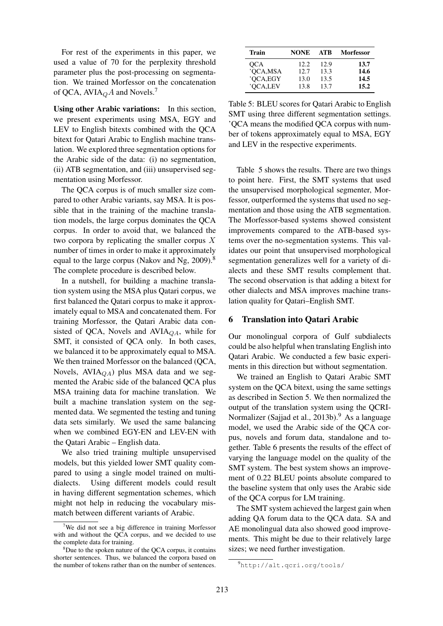For rest of the experiments in this paper, we used a value of 70 for the perplexity threshold parameter plus the post-processing on segmentation. We trained Morfessor on the concatenation of QCA,  $AVIA<sub>Q</sub>A$  and Novels.<sup>7</sup>

Using other Arabic variations: In this section, we present experiments using MSA, EGY and LEV to English bitexts combined with the QCA bitext for Qatari Arabic to English machine translation. We explored three segmentation options for the Arabic side of the data: (i) no segmentation, (ii) ATB segmentation, and (iii) unsupervised segmentation using Morfessor.

The QCA corpus is of much smaller size compared to other Arabic variants, say MSA. It is possible that in the training of the machine translation models, the large corpus dominates the QCA corpus. In order to avoid that, we balanced the two corpora by replicating the smaller corpus  $X$ number of times in order to make it approximately equal to the large corpus (Nakov and Ng, 2009).<sup>8</sup> The complete procedure is described below.

In a nutshell, for building a machine translation system using the MSA plus Qatari corpus, we first balanced the Qatari corpus to make it approximately equal to MSA and concatenated them. For training Morfessor, the Qatari Arabic data consisted of QCA, Novels and AVIA $_{QA}$ , while for SMT, it consisted of QCA only. In both cases, we balanced it to be approximately equal to MSA. We then trained Morfessor on the balanced (QCA, Novels,  $AVIA_{QA}$ ) plus MSA data and we segmented the Arabic side of the balanced QCA plus MSA training data for machine translation. We built a machine translation system on the segmented data. We segmented the testing and tuning data sets similarly. We used the same balancing when we combined EGY-EN and LEV-EN with the Qatari Arabic – English data.

We also tried training multiple unsupervised models, but this yielded lower SMT quality compared to using a single model trained on multidialects. Using different models could result in having different segmentation schemes, which might not help in reducing the vocabulary mismatch between different variants of Arabic.

| Train      | <b>NONE</b> | ATB  | <b>Morfessor</b> |
|------------|-------------|------|------------------|
| <b>OCA</b> | 12.2.       | 12.9 | 13.7             |
| 'QCA,MSA   | 12.7        | 13.3 | 14.6             |
| 'QCA,EGY   | 13.0        | 13.5 | 14.5             |
| 'OCA,LEV   | 13.8        | 13.7 | 15.2             |

Table 5: BLEU scores for Qatari Arabic to English SMT using three different segmentation settings. 'QCA means the modified QCA corpus with number of tokens approximately equal to MSA, EGY and LEV in the respective experiments.

Table 5 shows the results. There are two things to point here. First, the SMT systems that used the unsupervised morphological segmenter, Morfessor, outperformed the systems that used no segmentation and those using the ATB segmentation. The Morfessor-based systems showed consistent improvements compared to the ATB-based systems over the no-segmentation systems. This validates our point that unsupervised morphological segmentation generalizes well for a variety of dialects and these SMT results complement that. The second observation is that adding a bitext for other dialects and MSA improves machine translation quality for Qatari–English SMT.

#### 6 Translation into Qatari Arabic

Our monolingual corpora of Gulf subdialects could be also helpful when translating English into Qatari Arabic. We conducted a few basic experiments in this direction but without segmentation.

We trained an English to Qatari Arabic SMT system on the QCA bitext, using the same settings as described in Section 5. We then normalized the output of the translation system using the QCRI-Normalizer (Sajjad et al.,  $2013b$ ).<sup>9</sup> As a language model, we used the Arabic side of the QCA corpus, novels and forum data, standalone and together. Table 6 presents the results of the effect of varying the language model on the quality of the SMT system. The best system shows an improvement of 0.22 BLEU points absolute compared to the baseline system that only uses the Arabic side of the QCA corpus for LM training.

The SMT system achieved the largest gain when adding QA forum data to the QCA data. SA and AE monolingual data also showed good improvements. This might be due to their relatively large sizes; we need further investigation.

<sup>&</sup>lt;sup>7</sup>We did not see a big difference in training Morfessor with and without the QCA corpus, and we decided to use the complete data for training.

<sup>&</sup>lt;sup>8</sup>Due to the spoken nature of the OCA corpus, it contains shorter sentences. Thus, we balanced the corpora based on the number of tokens rather than on the number of sentences.

<sup>9</sup>http://alt.qcri.org/tools/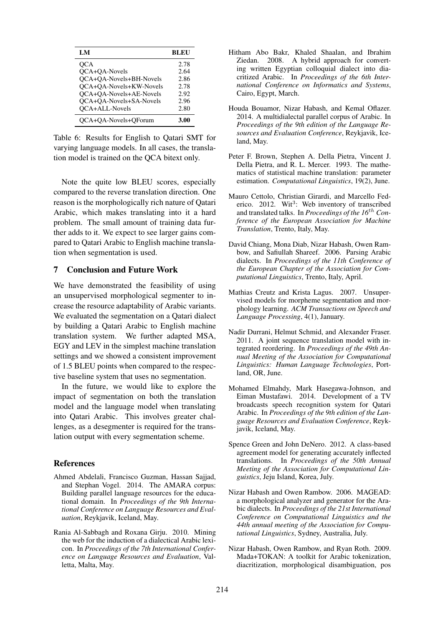| LM                      | BLEU |
|-------------------------|------|
| OCA                     | 2.78 |
| OCA+OA-Novels           | 2.64 |
| QCA+QA-Novels+BH-Novels | 2.86 |
| QCA+QA-Novels+KW-Novels | 2.78 |
| OCA+OA-Novels+AE-Novels | 2.92 |
| OCA+OA-Novels+SA-Novels | 2.96 |
| <b>OCA+ALL-Novels</b>   | 2.80 |
| OCA+OA-Novels+OForum    | 3.00 |

Table 6: Results for English to Qatari SMT for varying language models. In all cases, the translation model is trained on the QCA bitext only.

Note the quite low BLEU scores, especially compared to the reverse translation direction. One reason is the morphologically rich nature of Qatari Arabic, which makes translating into it a hard problem. The small amount of training data further adds to it. We expect to see larger gains compared to Qatari Arabic to English machine translation when segmentation is used.

#### 7 Conclusion and Future Work

We have demonstrated the feasibility of using an unsupervised morphological segmenter to increase the resource adaptability of Arabic variants. We evaluated the segmentation on a Qatari dialect by building a Qatari Arabic to English machine translation system. We further adapted MSA, EGY and LEV in the simplest machine translation settings and we showed a consistent improvement of 1.5 BLEU points when compared to the respective baseline system that uses no segmentation.

In the future, we would like to explore the impact of segmentation on both the translation model and the language model when translating into Qatari Arabic. This involves greater challenges, as a desegmenter is required for the translation output with every segmentation scheme.

## References

- Ahmed Abdelali, Francisco Guzman, Hassan Sajjad, and Stephan Vogel. 2014. The AMARA corpus: Building parallel language resources for the educational domain. In *Proceedings of the 9th International Conference on Language Resources and Evaluation*, Reykjavik, Iceland, May.
- Rania Al-Sabbagh and Roxana Girju. 2010. Mining the web for the induction of a dialectical Arabic lexicon. In *Proceedings of the 7th International Conference on Language Resources and Evaluation*, Valletta, Malta, May.
- Hitham Abo Bakr, Khaled Shaalan, and Ibrahim Ziedan. 2008. A hybrid approach for converting written Egyptian colloquial dialect into diacritized Arabic. In *Proceedings of the 6th International Conference on Informatics and Systems*, Cairo, Egypt, March.
- Houda Bouamor, Nizar Habash, and Kemal Oflazer. 2014. A multidialectal parallel corpus of Arabic. In *Proceedings of the 9th edition of the Language Resources and Evaluation Conference*, Reykjavik, Iceland, May.
- Peter F. Brown, Stephen A. Della Pietra, Vincent J. Della Pietra, and R. L. Mercer. 1993. The mathematics of statistical machine translation: parameter estimation. *Computational Linguistics*, 19(2), June.
- Mauro Cettolo, Christian Girardi, and Marcello Federico. 2012. Wit<sup>3</sup>: Web inventory of transcribed and translated talks. In *Proceedings of the 16*th *Conference of the European Association for Machine Translation*, Trento, Italy, May.
- David Chiang, Mona Diab, Nizar Habash, Owen Rambow, and Safiullah Shareef. 2006. Parsing Arabic dialects. In *Proceedings of the 11th Conference of the European Chapter of the Association for Computational Linguistics*, Trento, Italy, April.
- Mathias Creutz and Krista Lagus. 2007. Unsupervised models for morpheme segmentation and morphology learning. *ACM Transactions on Speech and Language Processing*, 4(1), January.
- Nadir Durrani, Helmut Schmid, and Alexander Fraser. 2011. A joint sequence translation model with integrated reordering. In *Proceedings of the 49th Annual Meeting of the Association for Computational Linguistics: Human Language Technologies*, Portland, OR, June.
- Mohamed Elmahdy, Mark Hasegawa-Johnson, and Eiman Mustafawi. 2014. Development of a TV broadcasts speech recognition system for Qatari Arabic. In *Proceedings of the 9th edition of the Language Resources and Evaluation Conference*, Reykjavik, Iceland, May.
- Spence Green and John DeNero. 2012. A class-based agreement model for generating accurately inflected translations. In *Proceedings of the 50th Annual Meeting of the Association for Computational Linguistics*, Jeju Island, Korea, July.
- Nizar Habash and Owen Rambow. 2006. MAGEAD: a morphological analyzer and generator for the Arabic dialects. In *Proceedings of the 21st International Conference on Computational Linguistics and the 44th annual meeting of the Association for Computational Linguistics*, Sydney, Australia, July.
- Nizar Habash, Owen Rambow, and Ryan Roth. 2009. Mada+TOKAN: A toolkit for Arabic tokenization, diacritization, morphological disambiguation, pos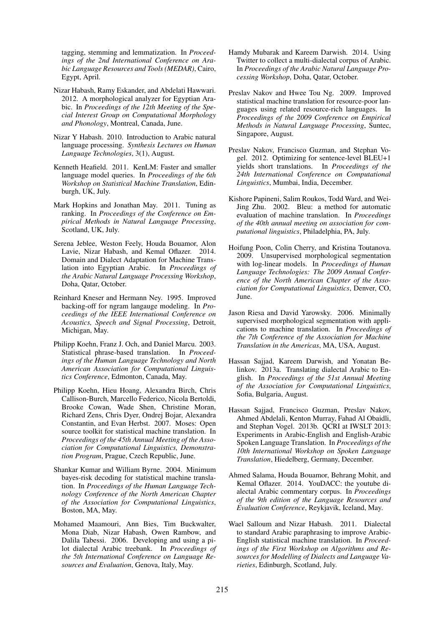tagging, stemming and lemmatization. In *Proceedings of the 2nd International Conference on Arabic Language Resources and Tools (MEDAR)*, Cairo, Egypt, April.

- Nizar Habash, Ramy Eskander, and Abdelati Hawwari. 2012. A morphological analyzer for Egyptian Arabic. In *Proceedings of the 12th Meeting of the Special Interest Group on Computational Morphology and Phonology*, Montreal, Canada, June.
- Nizar Y Habash. 2010. Introduction to Arabic natural language processing. *Synthesis Lectures on Human Language Technologies*, 3(1), August.
- Kenneth Heafield. 2011. KenLM: Faster and smaller language model queries. In *Proceedings of the 6th Workshop on Statistical Machine Translation*, Edinburgh, UK, July.
- Mark Hopkins and Jonathan May. 2011. Tuning as ranking. In *Proceedings of the Conference on Empirical Methods in Natural Language Processing*, Scotland, UK, July.
- Serena Jeblee, Weston Feely, Houda Bouamor, Alon Lavie, Nizar Habash, and Kemal Oflazer. 2014. Domain and Dialect Adaptation for Machine Translation into Egyptian Arabic. In *Proceedings of the Arabic Natural Language Processing Workshop*, Doha, Qatar, October.
- Reinhard Kneser and Hermann Ney. 1995. Improved backing-off for ngram langauge modeling. In *Proceedings of the IEEE International Conference on Acoustics, Speech and Signal Processing*, Detroit, Michigan, May.
- Philipp Koehn, Franz J. Och, and Daniel Marcu. 2003. Statistical phrase-based translation. In *Proceedings of the Human Language Technology and North American Association for Computational Linguistics Conference*, Edmonton, Canada, May.
- Philipp Koehn, Hieu Hoang, Alexandra Birch, Chris Callison-Burch, Marcello Federico, Nicola Bertoldi, Brooke Cowan, Wade Shen, Christine Moran, Richard Zens, Chris Dyer, Ondrej Bojar, Alexandra Constantin, and Evan Herbst. 2007. Moses: Open source toolkit for statistical machine translation. In *Proceedings of the 45th Annual Meeting of the Association for Computational Linguistics, Demonstration Program*, Prague, Czech Republic, June.
- Shankar Kumar and William Byrne. 2004. Minimum bayes-risk decoding for statistical machine translation. In *Proceedings of the Human Language Technology Conference of the North American Chapter of the Association for Computational Linguistics*, Boston, MA, May.
- Mohamed Maamouri, Ann Bies, Tim Buckwalter, Mona Diab, Nizar Habash, Owen Rambow, and Dalila Tabessi. 2006. Developing and using a pilot dialectal Arabic treebank. In *Proceedings of the 5th International Conference on Language Resources and Evaluation*, Genova, Italy, May.
- Hamdy Mubarak and Kareem Darwish. 2014. Using Twitter to collect a multi-dialectal corpus of Arabic. In *Proceedings of the Arabic Natural Language Processing Workshop*, Doha, Qatar, October.
- Preslav Nakov and Hwee Tou Ng. 2009. Improved statistical machine translation for resource-poor languages using related resource-rich languages. In *Proceedings of the 2009 Conference on Empirical Methods in Natural Language Processing*, Suntec, Singapore, August.
- Preslav Nakov, Francisco Guzman, and Stephan Vogel. 2012. Optimizing for sentence-level BLEU+1 yields short translations. In *Proceedings of the 24th International Conference on Computational Linguistics*, Mumbai, India, December.
- Kishore Papineni, Salim Roukos, Todd Ward, and Wei-Jing Zhu. 2002. Bleu: a method for automatic evaluation of machine translation. In *Proceedings of the 40th annual meeting on association for computational linguistics*, Philadelphia, PA, July.
- Hoifung Poon, Colin Cherry, and Kristina Toutanova. 2009. Unsupervised morphological segmentation with log-linear models. In *Proceedings of Human Language Technologies: The 2009 Annual Conference of the North American Chapter of the Association for Computational Linguistics*, Denver, CO, June.
- Jason Riesa and David Yarowsky. 2006. Minimally supervised morphological segmentation with applications to machine translation. In *Proceedings of the 7th Conference of the Association for Machine Translation in the Americas*, MA, USA, August.
- Hassan Sajjad, Kareem Darwish, and Yonatan Belinkov. 2013a. Translating dialectal Arabic to English. In *Proceedings of the 51st Annual Meeting of the Association for Computational Linguistics*, Sofia, Bulgaria, August.
- Hassan Sajjad, Francisco Guzman, Preslav Nakov, Ahmed Abdelali, Kenton Murray, Fahad Al Obaidli, and Stephan Vogel. 2013b. QCRI at IWSLT 2013: Experiments in Arabic-English and English-Arabic Spoken Language Translation. In *Proceedings of the 10th International Workshop on Spoken Language Translation*, Hiedelberg, Germany, December.
- Ahmed Salama, Houda Bouamor, Behrang Mohit, and Kemal Oflazer. 2014. YouDACC: the youtube dialectal Arabic commentary corpus. In *Proceedings of the 9th edition of the Language Resources and Evaluation Conference*, Reykjavik, Iceland, May.
- Wael Salloum and Nizar Habash. 2011. Dialectal to standard Arabic paraphrasing to improve Arabic-English statistical machine translation. In *Proceedings of the First Workshop on Algorithms and Resources for Modelling of Dialects and Language Varieties*, Edinburgh, Scotland, July.